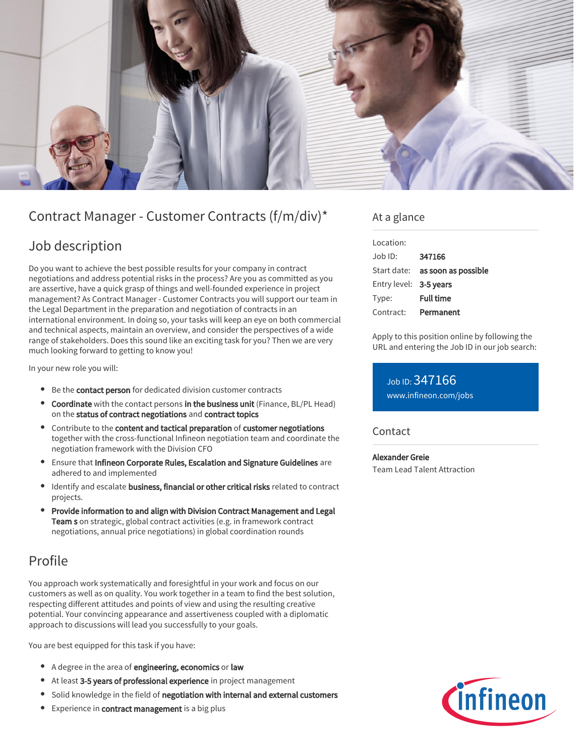

# Contract Manager - Customer Contracts (f/m/div)\*

### Job description

Do you want to achieve the best possible results for your company in contract negotiations and address potential risks in the process? Are you as committed as you are assertive, have a quick grasp of things and well-founded experience in project management? As Contract Manager - Customer Contracts you will support our team in the Legal Department in the preparation and negotiation of contracts in an international environment. In doing so, your tasks will keep an eye on both commercial and technical aspects, maintain an overview, and consider the perspectives of a wide range of stakeholders. Does this sound like an exciting task for you? Then we are very much looking forward to getting to know you!

In your new role you will:

- **Be the contact person** for dedicated division customer contracts
- **Coordinate** with the contact persons in the business unit (Finance, BL/PL Head) on the status of contract negotiations and contract topics
- Contribute to the content and tactical preparation of customer negotiations together with the cross-functional Infineon negotiation team and coordinate the negotiation framework with the Division CFO
- Ensure that Infineon Corporate Rules, Escalation and Signature Guidelines are adhered to and implemented
- Identify and escalate business, financial or other critical risks related to contract projects.
- Provide information to and align with Division Contract Management and Legal Team s on strategic, global contract activities (e.g. in framework contract negotiations, annual price negotiations) in global coordination rounds

## Profile

You approach work systematically and foresightful in your work and focus on our customers as well as on quality. You work together in a team to find the best solution, respecting different attitudes and points of view and using the resulting creative potential. Your convincing appearance and assertiveness coupled with a diplomatic approach to discussions will lead you successfully to your goals.

You are best equipped for this task if you have:

- A degree in the area of engineering, economics or law
- At least 3-5 years of professional experience in project management
- Solid knowledge in the field of negotiation with internal and external customers
- **Experience in contract management** is a big plus

### At a glance

| Location:              |                                        |
|------------------------|----------------------------------------|
| $.$ lob $1D$ :         | 347166                                 |
|                        | Start date: <b>as soon as possible</b> |
| Entry level: 3-5 years |                                        |
| Type:                  | <b>Full time</b>                       |
| Contract:              | Permanent                              |

Apply to this position online by following the URL and entering the Job ID in our job search:

Job ID: 347166 [www.infineon.com/jobs](https://www.infineon.com/jobs)

### **Contact**

Alexander Greie Team Lead Talent Attraction